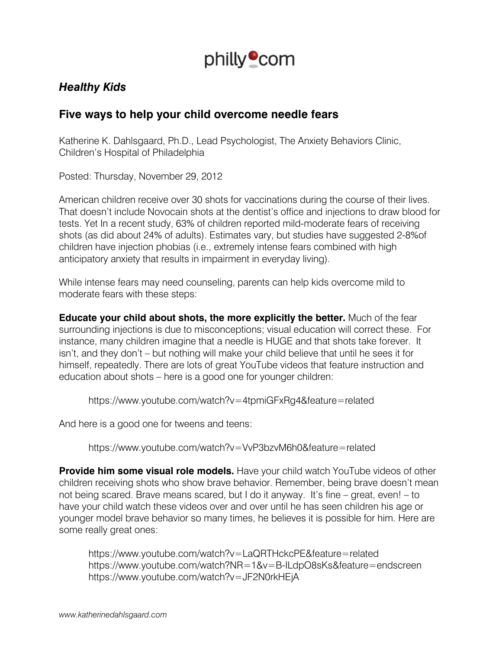

## *Healthy Kids*

## **Five ways to help your child overcome needle fears**

Katherine K. Dahlsgaard, Ph.D., Lead Psychologist, The Anxiety Behaviors Clinic, Children's Hospital of Philadelphia

Posted: Thursday, November 29, 2012

American children receive over 30 shots for vaccinations during the course of their lives. That doesn't include Novocain shots at the dentist's office and injections to draw blood for tests. Yet In a recent study, 63% of children reported mild-moderate fears of receiving shots (as did about 24% of adults). Estimates vary, but studies have suggested 2-8%of children have injection phobias (i.e., extremely intense fears combined with high anticipatory anxiety that results in impairment in everyday living).

While intense fears may need counseling, parents can help kids overcome mild to moderate fears with these steps:

**Educate your child about shots, the more explicitly the better.** Much of the fear surrounding injections is due to misconceptions; visual education will correct these. For instance, many children imagine that a needle is HUGE and that shots take forever. It isn't, and they don't – but nothing will make your child believe that until he sees it for himself, repeatedly. There are lots of great YouTube videos that feature instruction and education about shots – here is a good one for younger children:

https://www.youtube.com/watch?v=4tpmiGFxRg4&feature=related

And here is a good one for tweens and teens:

https://www.youtube.com/watch?v=VvP3bzvM6h0&feature=related

**Provide him some visual role models.** Have your child watch YouTube videos of other children receiving shots who show brave behavior. Remember, being brave doesn't mean not being scared. Brave means scared, but I do it anyway. It's fine – great, even! – to have your child watch these videos over and over until he has seen children his age or younger model brave behavior so many times, he believes it is possible for him. Here are some really great ones:

 https://www.youtube.com/watch?v=LaQRTHckcPE&feature=related https://www.youtube.com/watch?NR=1&v=B-ILdpO8sKs&feature=endscreen https://www.youtube.com/watch?v=JF2N0rkHEjA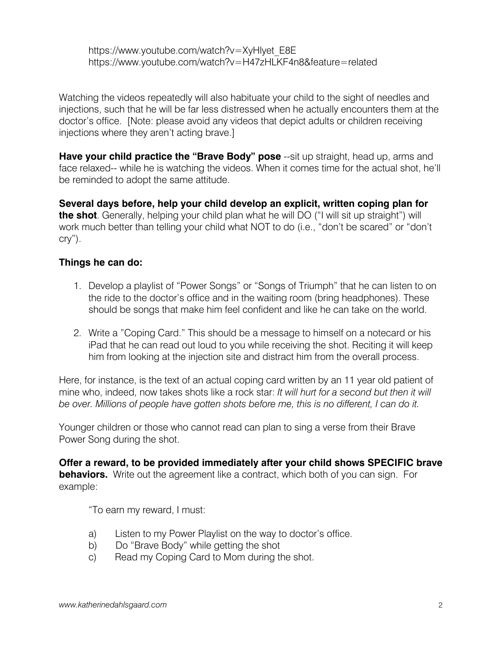https://www.youtube.com/watch?v=XyHlyet\_E8E https://www.youtube.com/watch?v=H47zHLKF4n8&feature=related

Watching the videos repeatedly will also habituate your child to the sight of needles and injections, such that he will be far less distressed when he actually encounters them at the doctor's office. [Note: please avoid any videos that depict adults or children receiving injections where they aren't acting brave.]

**Have your child practice the "Brave Body" pose** --sit up straight, head up, arms and face relaxed-- while he is watching the videos. When it comes time for the actual shot, he'll be reminded to adopt the same attitude.

**Several days before, help your child develop an explicit, written coping plan for the shot**. Generally, helping your child plan what he will DO ("I will sit up straight") will work much better than telling your child what NOT to do (i.e., "don't be scared" or "don't cry").

## **Things he can do:**

- 1. Develop a playlist of "Power Songs" or "Songs of Triumph" that he can listen to on the ride to the doctor's office and in the waiting room (bring headphones). These should be songs that make him feel confident and like he can take on the world.
- 2. Write a "Coping Card." This should be a message to himself on a notecard or his iPad that he can read out loud to you while receiving the shot. Reciting it will keep him from looking at the injection site and distract him from the overall process.

Here, for instance, is the text of an actual coping card written by an 11 year old patient of mine who, indeed, now takes shots like a rock star: *It will hurt for a second but then it will be over. Millions of people have gotten shots before me, this is no different, I can do it.* 

Younger children or those who cannot read can plan to sing a verse from their Brave Power Song during the shot.

**Offer a reward, to be provided immediately after your child shows SPECIFIC brave behaviors.** Write out the agreement like a contract, which both of you can sign. For example:

"To earn my reward, I must:

- a) Listen to my Power Playlist on the way to doctor's office.
- b) Do "Brave Body" while getting the shot
- c) Read my Coping Card to Mom during the shot.